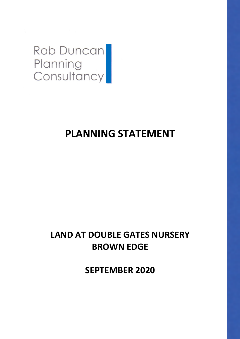

# **PLANNING STATEMENT**

# **LAND AT DOUBLE GATES NURSERY BROWN EDGE**

**SEPTEMBER 2020**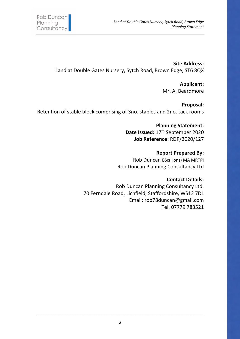**Site Address:** Land at Double Gates Nursery, Sytch Road, Brown Edge, ST6 8QX

> **Applicant:** Mr. A. Beardmore

**Proposal:** Retention of stable block comprising of 3no. stables and 2no. tack rooms

> **Planning Statement: Date Issued:** 17th September 2020 **Job Reference:** RDP/2020/127

**Report Prepared By:** Rob Duncan BSc(Hons) MA MRTPI Rob Duncan Planning Consultancy Ltd

# **Contact Details:**

Rob Duncan Planning Consultancy Ltd. 70 Ferndale Road, Lichfield, Staffordshire, WS13 7DL Email: rob78duncan@gmail.com Tel. 07779 783521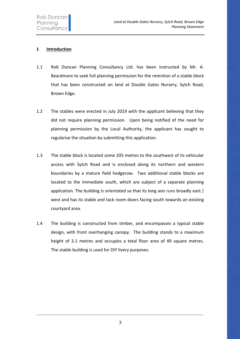# **1 Introduction**

- 1.1 Rob Duncan Planning Consultancy Ltd. has been instructed by Mr. A. Beardmore to seek full planning permission for the retention of a stable block that has been constructed on land at Double Gates Nursery, Sytch Road, Brown Edge.
- 1.2 The stables were erected in July 2019 with the applicant believing that they did not require planning permission. Upon being notified of the need for planning permission by the Local Authority, the applicant has sought to regularise the situation by submitting this application.
- 1.3 The stable block is located some 205 metres to the southwest of its vehicular access with Sytch Road and is enclosed along its northern and western boundaries by a mature field hedgerow. Two additional stable blocks are located to the immediate south, which are subject of a separate planning application. The building is orientated so that its long axis runs broadly east / west and has its stable and tack room doors facing south towards an existing courtyard area.
- 1.4 The building is constructed from timber, and encompasses a typical stable design, with front overhanging canopy. The building stands to a maximum height of 3.1 metres and occupies a total floor area of 49 square metres. The stable building is used for DIY livery purposes.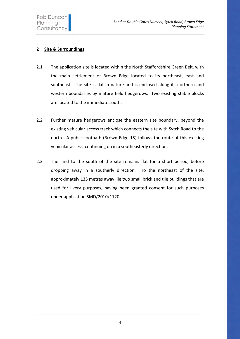# **2 Site & Surroundings**

- 2.1 The application site is located within the North Staffordshire Green Belt, with the main settlement of Brown Edge located to its northeast, east and southeast. The site is flat in nature and is enclosed along its northern and western boundaries by mature field hedgerows. Two existing stable blocks are located to the immediate south.
- 2.2 Further mature hedgerows enclose the eastern site boundary, beyond the existing vehicular access track which connects the site with Sytch Road to the north. A public footpath (Brown Edge 15) follows the route of this existing vehicular access, continuing on in a southeasterly direction.
- 2.3 The land to the south of the site remains flat for a short period, before dropping away in a southerly direction. To the northeast of the site, approximately 135 metres away, lie two small brick and tile buildings that are used for livery purposes, having been granted consent for such purposes under application SMD/2010/1120.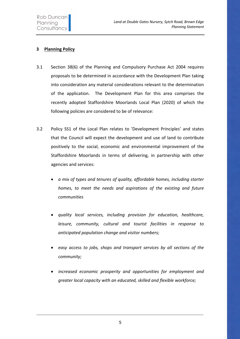# **3 Planning Policy**

- 3.1 Section 38(6) of the Planning and Compulsory Purchase Act 2004 requires proposals to be determined in accordance with the Development Plan taking into consideration any material considerations relevant to the determination of the application. The Development Plan for this area comprises the recently adopted Staffordshire Moorlands Local Plan (2020) of which the following policies are considered to be of relevance:
- 3.2 Policy SS1 of the Local Plan relates to 'Development Principles' and states that the Council will expect the development and use of land to contribute positively to the social, economic and environmental improvement of the Staffordshire Moorlands in terms of delivering, in partnership with other agencies and services:
	- *a mix of types and tenures of quality, affordable homes, including starter homes, to meet the needs and aspirations of the existing and future communities*
	- *quality local services, including provision for education, healthcare, leisure, community, cultural and tourist facilities in response to anticipated population change and visitor numbers;*
	- *easy access to jobs, shops and transport services by all sections of the community;*
	- *increased economic prosperity and opportunities for employment and greater local capacity with an educated, skilled and flexible workforce;*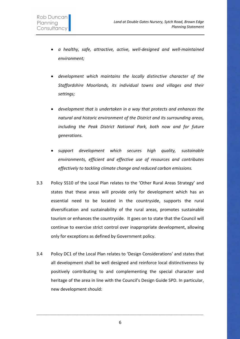- *a healthy, safe, attractive, active, well-designed and well-maintained environment;*
- *development which maintains the locally distinctive character of the Staffordshire Moorlands, its individual towns and villages and their settings;*
- *development that is undertaken in a way that protects and enhances the natural and historic environment of the District and its surrounding areas, including the Peak District National Park, both now and for future generations.*
- *support development which secures high quality, sustainable environments, efficient and effective use of resources and contributes effectively to tackling climate change and reduced carbon emissions.*
- 3.3 Policy SS10 of the Local Plan relates to the 'Other Rural Areas Strategy' and states that these areas will provide only for development which has an essential need to be located in the countryside, supports the rural diversification and sustainability of the rural areas, promotes sustainable tourism or enhances the countryside. It goes on to state that the Council will continue to exercise strict control over inappropriate development, allowing only for exceptions as defined by Government policy.
- 3.4 Policy DC1 of the Local Plan relates to 'Design Considerations' and states that all development shall be well designed and reinforce local distinctiveness by positively contributing to and complementing the special character and heritage of the area in line with the Council's Design Guide SPD. In particular, new development should:

6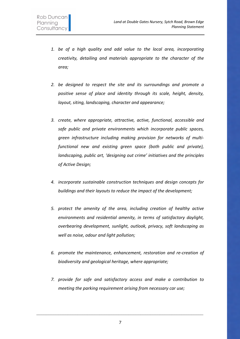- *1. be of a high quality and add value to the local area, incorporating creativity, detailing and materials appropriate to the character of the area;*
- *2. be designed to respect the site and its surroundings and promote a positive sense of place and identity through its scale, height, density, layout, siting, landscaping, character and appearance;*
- *3. create, where appropriate, attractive, active, functional, accessible and safe public and private environments which incorporate public spaces, green infrastructure including making provision for networks of multifunctional new and existing green space (both public and private), landscaping, public art, 'designing out crime' initiatives and the principles of Active Design;*
- *4. incorporate sustainable construction techniques and design concepts for buildings and their layouts to reduce the impact of the development;*
- *5. protect the amenity of the area, including creation of healthy active environments and residential amenity, in terms of satisfactory daylight, overbearing development, sunlight, outlook, privacy, soft landscaping as well as noise, odour and light pollution;*
- *6. promote the maintenance, enhancement, restoration and re-creation of biodiversity and geological heritage, where appropriate;*
- *7. provide for safe and satisfactory access and make a contribution to meeting the parking requirement arising from necessary car use;*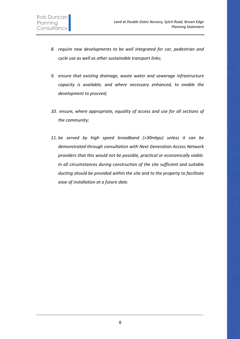- *8. require new developments to be well integrated for car, pedestrian and cycle use as well as other sustainable transport links;*
- *9. ensure that existing drainage, waste water and sewerage infrastructure capacity is available, and where necessary enhanced, to enable the development to proceed;*
- *10. ensure, where appropriate, equality of access and use for all sections of the community;*
- *11. be served by high speed broadband (>30mbps) unless it can be demonstrated through consultation with Next Generation Access Network providers that this would not be possible, practical or economically viable. In all circumstances during construction of the site sufficient and suitable ducting should be provided within the site and to the property to facilitate ease of installation at a future date.*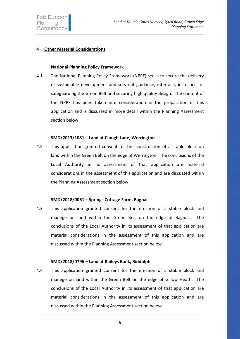# **4 Other Material Considerations**

#### **National Planning Policy Framework**

4.1 The National Planning Policy Framework (NPPF) seeks to secure the delivery of sustainable development and sets out guidance, inter-alia, in respect of safeguarding the Green Belt and securing high quality design. The content of the NPPF has been taken into consideration in the preparation of this application and is discussed in more detail within the Planning Assessment section below.

## **SMD/2013/1081 – Land at Clough Lane, Werrington**

4.2 This application granted consent for the construction of a stable block on land within the Green Belt on the edge of Werrington. The conclusions of the Local Authority in its assessment of that application are material considerations in the assessment of this application and are discussed within the Planning Assessment section below.

## **SMD/2018/0061 – Springs Cottage Farm, Bagnall**

4.3 This application granted consent for the erection of a stable block and manege on land within the Green Belt on the edge of Bagnall. The conclusions of the Local Authority in its assessment of that application are material considerations in the assessment of this application and are discussed within the Planning Assessment section below.

#### **SMD/2018/0796 – Land at Baileys Bank, Biddulph**

4.4 This application granted consent for the erection of a stable block and manege on land within the Green Belt on the edge of Gillow Heath. The conclusions of the Local Authority in its assessment of that application are material considerations in the assessment of this application and are discussed within the Planning Assessment section below.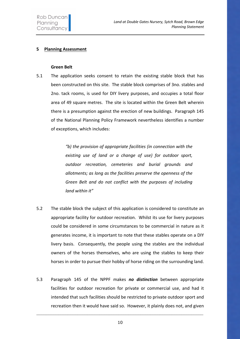## **5 Planning Assessment**

#### **Green Belt**

5.1 The application seeks consent to retain the existing stable block that has been constructed on this site. The stable block comprises of 3no. stables and 2no. tack rooms, is used for DIY livery purposes, and occupies a total floor area of 49 square metres. The site is located within the Green Belt wherein there is a presumption against the erection of new buildings. Paragraph 145 of the National Planning Policy Framework nevertheless identifies a number of exceptions, which includes:

> *"b) the provision of appropriate facilities (in connection with the existing use of land or a change of use) for outdoor sport, outdoor recreation, cemeteries and burial grounds and allotments; as long as the facilities preserve the openness of the Green Belt and do not conflict with the purposes of including land within it"*

- 5.2 The stable block the subject of this application is considered to constitute an appropriate facility for outdoor recreation. Whilst its use for livery purposes could be considered in some circumstances to be commercial in nature as it generates income, it is important to note that these stables operate on a DIY livery basis. Consequently, the people using the stables are the individual owners of the horses themselves, who are using the stables to keep their horses in order to pursue their hobby of horse riding on the surrounding land.
- 5.3 Paragraph 145 of the NPPF makes *no distinction* between appropriate facilities for outdoor recreation for private or commercial use, and had it intended that such facilities should be restricted to private outdoor sport and recreation then it would have said so. However, it plainly does not, and given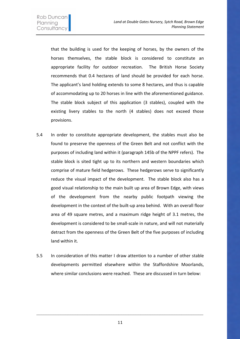that the building is used for the keeping of horses, by the owners of the horses themselves, the stable block is considered to constitute an appropriate facility for outdoor recreation. The British Horse Society recommends that 0.4 hectares of land should be provided for each horse. The applicant's land holding extends to some 8 hectares, and thus is capable of accommodating up to 20 horses in line with the aforementioned guidance. The stable block subject of this application (3 stables), coupled with the existing livery stables to the north (4 stables) does not exceed those provisions.

- 5.4 In order to constitute appropriate development, the stables must also be found to preserve the openness of the Green Belt and not conflict with the purposes of including land within it (paragraph 145b of the NPPF refers). The stable block is sited tight up to its northern and western boundaries which comprise of mature field hedgerows. These hedgerows serve to significantly reduce the visual impact of the development. The stable block also has a good visual relationship to the main built up area of Brown Edge, with views of the development from the nearby public footpath viewing the development in the context of the built-up area behind. With an overall floor area of 49 square metres, and a maximum ridge height of 3.1 metres, the development is considered to be small-scale in nature, and will not materially detract from the openness of the Green Belt of the five purposes of including land within it.
- 5.5 In consideration of this matter I draw attention to a number of other stable developments permitted elsewhere within the Staffordshire Moorlands, where similar conclusions were reached. These are discussed in turn below:

11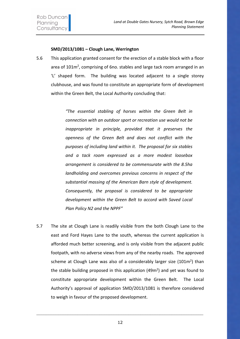## **SMD/2013/1081 – Clough Lane, Werrington**

5.6 This application granted consent for the erection of a stable block with a floor area of 101m<sup>2</sup>, comprising of 6no. stables and large tack room arranged in an 'L' shaped form. The building was located adjacent to a single storey clubhouse, and was found to constitute an appropriate form of development within the Green Belt, the Local Authority concluding that:

> *"The essential stabling of horses within the Green Belt in connection with an outdoor sport or recreation use would not be inappropriate in principle, provided that it preserves the openness of the Green Belt and does not conflict with the purposes of including land within it. The proposal for six stables and a tack room expressed as a more modest loosebox arrangement is considered to be commensurate with the 8.5ha landholding and overcomes previous concerns in respect of the substantial massing of the American Barn style of development. Consequently, the proposal is considered to be appropriate development within the Green Belt to accord with Saved Local Plan Policy N2 and the NPPF"*

5.7 The site at Clough Lane is readily visible from the both Clough Lane to the east and Ford Hayes Lane to the south, whereas the current application is afforded much better screening, and is only visible from the adjacent public footpath, with no adverse views from any of the nearby roads. The approved scheme at Clough Lane was also of a considerably larger size  $(101m^2)$  than the stable building proposed in this application (49 $m<sup>2</sup>$ ) and yet was found to constitute appropriate development within the Green Belt. The Local Authority's approval of application SMD/2013/1081 is therefore considered to weigh in favour of the proposed development.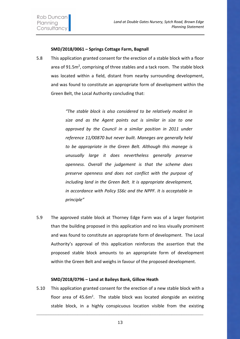## **SMD/2018/0061 – Springs Cottage Farm, Bagnall**

5.8 This application granted consent for the erection of a stable block with a floor area of 91.5m<sup>2</sup>, comprising of three stables and a tack room. The stable block was located within a field, distant from nearby surrounding development, and was found to constitute an appropriate form of development within the Green Belt, the Local Authority concluding that:

> *"The stable block is also considered to be relatively modest in size and as the Agent points out is similar in size to one approved by the Council in a similar position in 2011 under reference 11/00870 but never built. Maneges are generally held to be appropriate in the Green Belt. Although this manege is unusually large it does nevertheless generally preserve openness. Overall the judgement is that the scheme does preserve openness and does not conflict with the purpose of including land in the Green Belt. It is appropriate development, in accordance with Policy SS6c and the NPPF. It is acceptable in principle"*

5.9 The approved stable block at Thorney Edge Farm was of a larger footprint than the building proposed in this application and no less visually prominent and was found to constitute an appropriate form of development. The Local Authority's approval of this application reinforces the assertion that the proposed stable block amounts to an appropriate form of development within the Green Belt and weighs in favour of the proposed development.

## **SMD/2018/0796 – Land at Baileys Bank, Gillow Heath**

5.10 This application granted consent for the erection of a new stable block with a floor area of  $45.6m^2$ . The stable block was located alongside an existing stable block, in a highly conspicuous location visible from the existing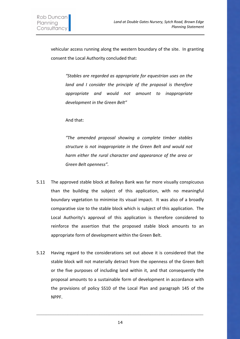vehicular access running along the western boundary of the site. In granting consent the Local Authority concluded that:

*"Stables are regarded as appropriate for equestrian uses on the land and I consider the principle of the proposal is therefore appropriate and would not amount to inappropriate development in the Green Belt"*

And that:

*"The amended proposal showing a complete timber stables structure is not inappropriate in the Green Belt and would not harm either the rural character and appearance of the area or Green Belt openness".* 

- 5.11 The approved stable block at Baileys Bank was far more visually conspicuous than the building the subject of this application, with no meaningful boundary vegetation to minimise its visual impact. It was also of a broadly comparative size to the stable block which is subject of this application. The Local Authority's approval of this application is therefore considered to reinforce the assertion that the proposed stable block amounts to an appropriate form of development within the Green Belt.
- 5.12 Having regard to the considerations set out above it is considered that the stable block will not materially detract from the openness of the Green Belt or the five purposes of including land within it, and that consequently the proposal amounts to a sustainable form of development in accordance with the provisions of policy SS10 of the Local Plan and paragraph 145 of the NPPF.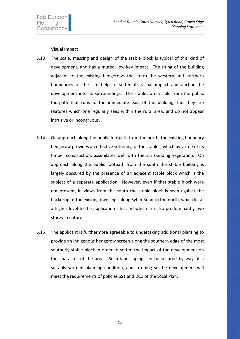## **Visual Impact**

- 5.13 The scale, massing and design of the stable block is typical of this kind of development, and has a muted, low-key impact. The siting of the building adjacent to the existing hedgerows that form the western and northern boundaries of the site help to soften its visual impact and anchor the development into its surroundings. The stables are visible from the public footpath that runs to the immediate east of the building, but they are features which one regularly sees within the rural area, and do not appear intrusive or incongruous.
- 5.14 On approach along the public footpath from the north, the existing boundary hedgerow provides an effective softening of the stables, which by virtue of its timber construction, assimilates well with the surrounding vegetation. On approach along the public footpath from the south the stable building is largely obscured by the presence of an adjacent stable block which is the subject of a separate application. However, even if that stable block were not present, in views from the south the stable block is seen against the backdrop of the existing dwellings along Sytch Road to the north, which lie at a higher level to the application site, and which are also predominantly two storey in nature.
- 5.15 The applicant is furthermore agreeable to undertaking additional planting to provide an indigenous hedgerow screen along the southern edge of the most southerly stable block in order to soften the impact of the development on the character of the area. Such landscaping can be secured by way of a suitably worded planning condition, and in doing so the development will meet the requirements of policies SS1 and DC1 of the Local Plan.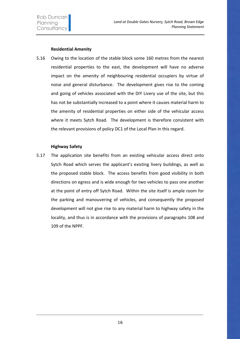# **Residential Amenity**

5.16 Owing to the location of the stable block some 160 metres from the nearest residential properties to the east, the development will have no adverse impact on the amenity of neighbouring residential occupiers by virtue of noise and general disturbance. The development gives rise to the coming and going of vehicles associated with the DIY Livery use of the site, but this has not be substantially increased to a point where it causes material harm to the amenity of residential properties on either side of the vehicular access where it meets Sytch Road. The development is therefore consistent with the relevant provisions of policy DC1 of the Local Plan in this regard.

## **Highway Safety**

5.17 The application site benefits from an existing vehicular access direct onto Sytch Road which serves the applicant's existing livery buildings, as well as the proposed stable block. The access benefits from good visibility in both directions on egress and is wide enough for two vehicles to pass one another at the point of entry off Sytch Road. Within the site itself is ample room for the parking and manouvering of vehicles, and consequently the proposed development will not give rise to any material harm to highway safety in the locality, and thus is in accordance with the provisions of paragraphs 108 and 109 of the NPPF.